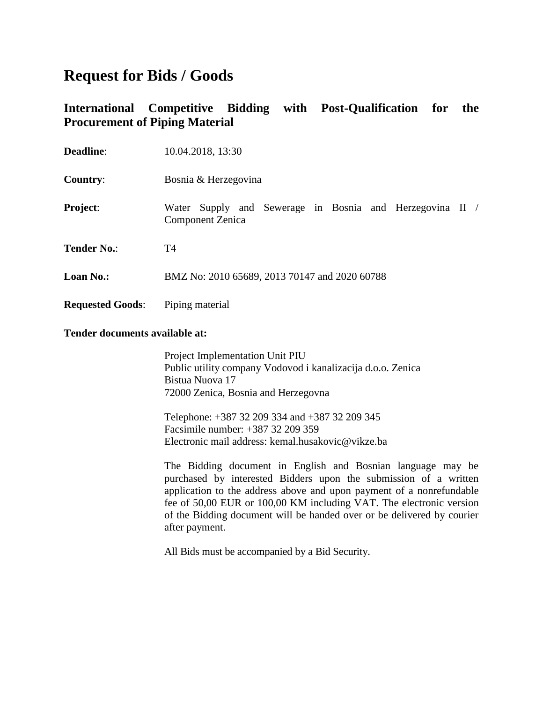## **Request for Bids / Goods**

## **International Competitive Bidding with Post-Qualification for the Procurement of Piping Material**

| <b>Deadline:</b>        | 10.04.2018, 13:30                                                                   |
|-------------------------|-------------------------------------------------------------------------------------|
| <b>Country:</b>         | Bosnia & Herzegovina                                                                |
| <b>Project:</b>         | Water Supply and Sewerage in Bosnia and Herzegovina II /<br><b>Component Zenica</b> |
| <b>Tender No.:</b>      | <b>T4</b>                                                                           |
| <b>Loan No.:</b>        | BMZ No: 2010 65689, 2013 70147 and 2020 60788                                       |
| <b>Requested Goods:</b> | Piping material                                                                     |

#### **Tender documents available at:**

Project Implementation Unit PIU Public utility company Vodovod i kanalizacija d.o.o. Zenica Bistua Nuova 17 72000 Zenica, Bosnia and Herzegovna

Telephone: +387 32 209 334 and +387 32 209 345 Facsimile number: +387 32 209 359 Electronic mail address: kemal.husakovic@vikze.ba

The Bidding document in English and Bosnian language may be purchased by interested Bidders upon the submission of a written application to the address above and upon payment of a nonrefundable fee of 50,00 EUR or 100,00 KM including VAT. The electronic version of the Bidding document will be handed over or be delivered by courier after payment.

All Bids must be accompanied by a Bid Security.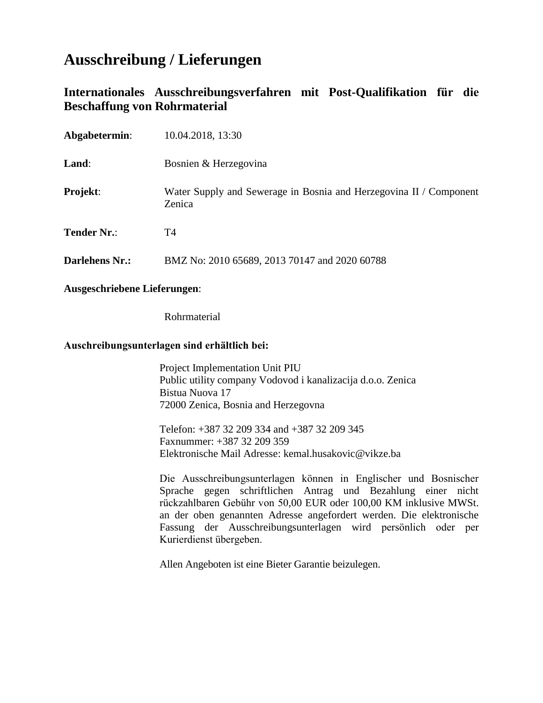# **Ausschreibung / Lieferungen**

## **Internationales Ausschreibungsverfahren mit Post-Qualifikation für die Beschaffung von Rohrmaterial**

| Abgabetermin:         | 10.04.2018, 13:30                                                            |
|-----------------------|------------------------------------------------------------------------------|
| Land:                 | Bosnien & Herzegovina                                                        |
| Projekt:              | Water Supply and Sewerage in Bosnia and Herzegovina II / Component<br>Zenica |
| <b>Tender Nr.:</b>    | T4                                                                           |
| <b>Darlehens Nr.:</b> | BMZ No: 2010 65689, 2013 70147 and 2020 60788                                |

## **Ausgeschriebene Lieferungen**:

Rohrmaterial

### **Auschreibungsunterlagen sind erhältlich bei:**

Project Implementation Unit PIU Public utility company Vodovod i kanalizacija d.o.o. Zenica Bistua Nuova 17 72000 Zenica, Bosnia and Herzegovna

Telefon: +387 32 209 334 and +387 32 209 345 Faxnummer: +387 32 209 359 Elektronische Mail Adresse: kemal.husakovic@vikze.ba

Die Ausschreibungsunterlagen können in Englischer und Bosnischer Sprache gegen schriftlichen Antrag und Bezahlung einer nicht rückzahlbaren Gebühr von 50,00 EUR oder 100,00 KM inklusive MWSt. an der oben genannten Adresse angefordert werden. Die elektronische Fassung der Ausschreibungsunterlagen wird persönlich oder per Kurierdienst übergeben.

Allen Angeboten ist eine Bieter Garantie beizulegen.